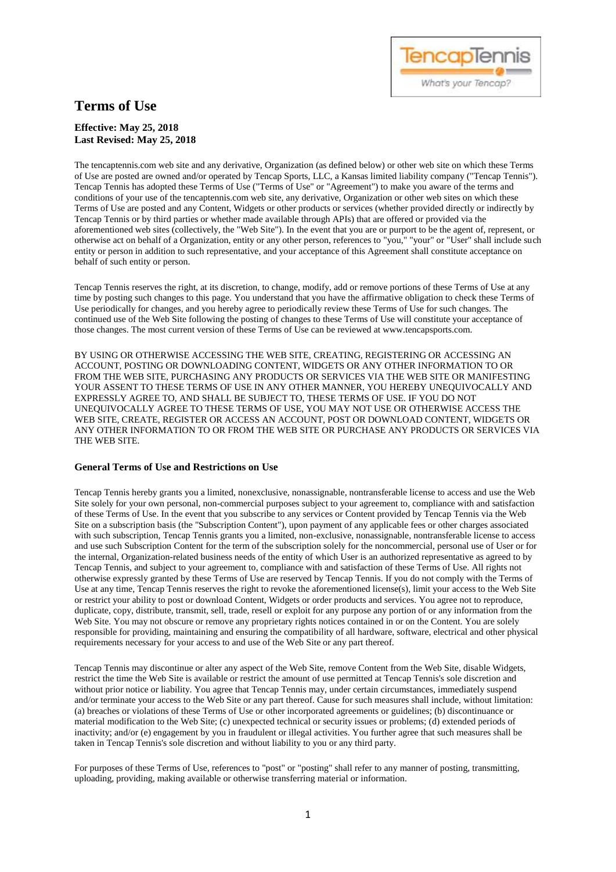# **Terms of Use**

# **Effective: May 25, 2018 Last Revised: May 25, 2018**

The tencaptennis.com web site and any derivative, Organization (as defined below) or other web site on which these Terms of Use are posted are owned and/or operated by Tencap Sports, LLC, a Kansas limited liability company ("Tencap Tennis"). Tencap Tennis has adopted these Terms of Use ("Terms of Use" or "Agreement") to make you aware of the terms and conditions of your use of the tencaptennis.com web site, any derivative, Organization or other web sites on which these Terms of Use are posted and any Content, Widgets or other products or services (whether provided directly or indirectly by Tencap Tennis or by third parties or whether made available through APIs) that are offered or provided via the aforementioned web sites (collectively, the "Web Site"). In the event that you are or purport to be the agent of, represent, or otherwise act on behalf of a Organization, entity or any other person, references to "you," "your" or "User" shall include such entity or person in addition to such representative, and your acceptance of this Agreement shall constitute acceptance on behalf of such entity or person.

What's your Tencap'

Tencap Tennis reserves the right, at its discretion, to change, modify, add or remove portions of these Terms of Use at any time by posting such changes to this page. You understand that you have the affirmative obligation to check these Terms of Use periodically for changes, and you hereby agree to periodically review these Terms of Use for such changes. The continued use of the Web Site following the posting of changes to these Terms of Use will constitute your acceptance of those changes. The most current version of these Terms of Use can be reviewed at www.tencapsports.com.

BY USING OR OTHERWISE ACCESSING THE WEB SITE, CREATING, REGISTERING OR ACCESSING AN ACCOUNT, POSTING OR DOWNLOADING CONTENT, WIDGETS OR ANY OTHER INFORMATION TO OR FROM THE WEB SITE, PURCHASING ANY PRODUCTS OR SERVICES VIA THE WEB SITE OR MANIFESTING YOUR ASSENT TO THESE TERMS OF USE IN ANY OTHER MANNER, YOU HEREBY UNEQUIVOCALLY AND EXPRESSLY AGREE TO, AND SHALL BE SUBJECT TO, THESE TERMS OF USE. IF YOU DO NOT UNEQUIVOCALLY AGREE TO THESE TERMS OF USE, YOU MAY NOT USE OR OTHERWISE ACCESS THE WEB SITE, CREATE, REGISTER OR ACCESS AN ACCOUNT, POST OR DOWNLOAD CONTENT, WIDGETS OR ANY OTHER INFORMATION TO OR FROM THE WEB SITE OR PURCHASE ANY PRODUCTS OR SERVICES VIA THE WEB SITE.

# **General Terms of Use and Restrictions on Use**

Tencap Tennis hereby grants you a limited, nonexclusive, nonassignable, nontransferable license to access and use the Web Site solely for your own personal, non-commercial purposes subject to your agreement to, compliance with and satisfaction of these Terms of Use. In the event that you subscribe to any services or Content provided by Tencap Tennis via the Web Site on a subscription basis (the "Subscription Content"), upon payment of any applicable fees or other charges associated with such subscription, Tencap Tennis grants you a limited, non-exclusive, nonassignable, nontransferable license to access and use such Subscription Content for the term of the subscription solely for the noncommercial, personal use of User or for the internal, Organization-related business needs of the entity of which User is an authorized representative as agreed to by Tencap Tennis, and subject to your agreement to, compliance with and satisfaction of these Terms of Use. All rights not otherwise expressly granted by these Terms of Use are reserved by Tencap Tennis. If you do not comply with the Terms of Use at any time, Tencap Tennis reserves the right to revoke the aforementioned license(s), limit your access to the Web Site or restrict your ability to post or download Content, Widgets or order products and services. You agree not to reproduce, duplicate, copy, distribute, transmit, sell, trade, resell or exploit for any purpose any portion of or any information from the Web Site. You may not obscure or remove any proprietary rights notices contained in or on the Content. You are solely responsible for providing, maintaining and ensuring the compatibility of all hardware, software, electrical and other physical requirements necessary for your access to and use of the Web Site or any part thereof.

Tencap Tennis may discontinue or alter any aspect of the Web Site, remove Content from the Web Site, disable Widgets, restrict the time the Web Site is available or restrict the amount of use permitted at Tencap Tennis's sole discretion and without prior notice or liability. You agree that Tencap Tennis may, under certain circumstances, immediately suspend and/or terminate your access to the Web Site or any part thereof. Cause for such measures shall include, without limitation: (a) breaches or violations of these Terms of Use or other incorporated agreements or guidelines; (b) discontinuance or material modification to the Web Site; (c) unexpected technical or security issues or problems; (d) extended periods of inactivity; and/or (e) engagement by you in fraudulent or illegal activities. You further agree that such measures shall be taken in Tencap Tennis's sole discretion and without liability to you or any third party.

For purposes of these Terms of Use, references to "post" or "posting" shall refer to any manner of posting, transmitting, uploading, providing, making available or otherwise transferring material or information.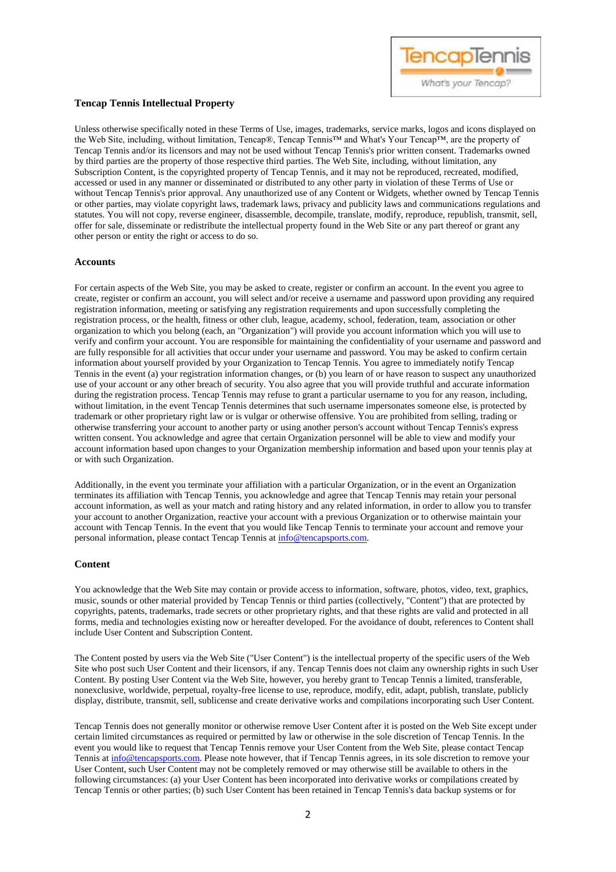

# **Tencap Tennis Intellectual Property**

Unless otherwise specifically noted in these Terms of Use, images, trademarks, service marks, logos and icons displayed on the Web Site, including, without limitation, Tencap®, Tencap Tennis™ and What's Your Tencap™, are the property of Tencap Tennis and/or its licensors and may not be used without Tencap Tennis's prior written consent. Trademarks owned by third parties are the property of those respective third parties. The Web Site, including, without limitation, any Subscription Content, is the copyrighted property of Tencap Tennis, and it may not be reproduced, recreated, modified, accessed or used in any manner or disseminated or distributed to any other party in violation of these Terms of Use or without Tencap Tennis's prior approval. Any unauthorized use of any Content or Widgets, whether owned by Tencap Tennis or other parties, may violate copyright laws, trademark laws, privacy and publicity laws and communications regulations and statutes. You will not copy, reverse engineer, disassemble, decompile, translate, modify, reproduce, republish, transmit, sell, offer for sale, disseminate or redistribute the intellectual property found in the Web Site or any part thereof or grant any other person or entity the right or access to do so.

### **Accounts**

For certain aspects of the Web Site, you may be asked to create, register or confirm an account. In the event you agree to create, register or confirm an account, you will select and/or receive a username and password upon providing any required registration information, meeting or satisfying any registration requirements and upon successfully completing the registration process, or the health, fitness or other club, league, academy, school, federation, team, association or other organization to which you belong (each, an "Organization") will provide you account information which you will use to verify and confirm your account. You are responsible for maintaining the confidentiality of your username and password and are fully responsible for all activities that occur under your username and password. You may be asked to confirm certain information about yourself provided by your Organization to Tencap Tennis. You agree to immediately notify Tencap Tennis in the event (a) your registration information changes, or (b) you learn of or have reason to suspect any unauthorized use of your account or any other breach of security. You also agree that you will provide truthful and accurate information during the registration process. Tencap Tennis may refuse to grant a particular username to you for any reason, including, without limitation, in the event Tencap Tennis determines that such username impersonates someone else, is protected by trademark or other proprietary right law or is vulgar or otherwise offensive. You are prohibited from selling, trading or otherwise transferring your account to another party or using another person's account without Tencap Tennis's express written consent. You acknowledge and agree that certain Organization personnel will be able to view and modify your account information based upon changes to your Organization membership information and based upon your tennis play at or with such Organization.

Additionally, in the event you terminate your affiliation with a particular Organization, or in the event an Organization terminates its affiliation with Tencap Tennis, you acknowledge and agree that Tencap Tennis may retain your personal account information, as well as your match and rating history and any related information, in order to allow you to transfer your account to another Organization, reactive your account with a previous Organization or to otherwise maintain your account with Tencap Tennis. In the event that you would like Tencap Tennis to terminate your account and remove your personal information, please contact Tencap Tennis at [info@tencapsports.com.](mailto:info@tencapsports.com) 

# **Content**

You acknowledge that the Web Site may contain or provide access to information, software, photos, video, text, graphics, music, sounds or other material provided by Tencap Tennis or third parties (collectively, "Content") that are protected by copyrights, patents, trademarks, trade secrets or other proprietary rights, and that these rights are valid and protected in all forms, media and technologies existing now or hereafter developed. For the avoidance of doubt, references to Content shall include User Content and Subscription Content.

The Content posted by users via the Web Site ("User Content") is the intellectual property of the specific users of the Web Site who post such User Content and their licensors, if any. Tencap Tennis does not claim any ownership rights in such User Content. By posting User Content via the Web Site, however, you hereby grant to Tencap Tennis a limited, transferable, nonexclusive, worldwide, perpetual, royalty-free license to use, reproduce, modify, edit, adapt, publish, translate, publicly display, distribute, transmit, sell, sublicense and create derivative works and compilations incorporating such User Content.

Tencap Tennis does not generally monitor or otherwise remove User Content after it is posted on the Web Site except under certain limited circumstances as required or permitted by law or otherwise in the sole discretion of Tencap Tennis. In the event you would like to request that Tencap Tennis remove your User Content from the Web Site, please contact Tencap Tennis a[t info@tencapsports.com.](mailto:info@tencapsports.com) Please note however, that if Tencap Tennis agrees, in its sole discretion to remove your User Content, such User Content may not be completely removed or may otherwise still be available to others in the following circumstances: (a) your User Content has been incorporated into derivative works or compilations created by Tencap Tennis or other parties; (b) such User Content has been retained in Tencap Tennis's data backup systems or for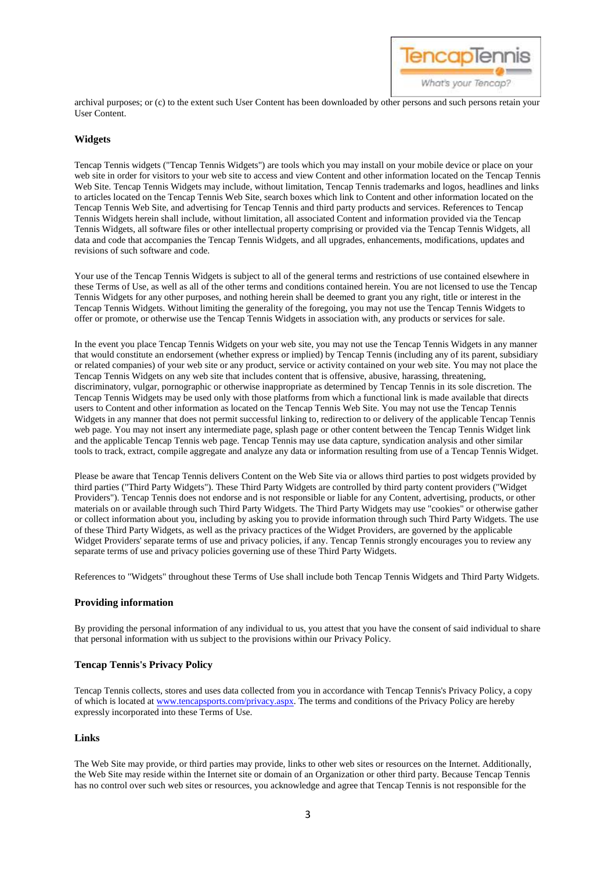

archival purposes; or (c) to the extent such User Content has been downloaded by other persons and such persons retain your User Content.

## **Widgets**

Tencap Tennis widgets ("Tencap Tennis Widgets") are tools which you may install on your mobile device or place on your web site in order for visitors to your web site to access and view Content and other information located on the Tencap Tennis Web Site. Tencap Tennis Widgets may include, without limitation, Tencap Tennis trademarks and logos, headlines and links to articles located on the Tencap Tennis Web Site, search boxes which link to Content and other information located on the Tencap Tennis Web Site, and advertising for Tencap Tennis and third party products and services. References to Tencap Tennis Widgets herein shall include, without limitation, all associated Content and information provided via the Tencap Tennis Widgets, all software files or other intellectual property comprising or provided via the Tencap Tennis Widgets, all data and code that accompanies the Tencap Tennis Widgets, and all upgrades, enhancements, modifications, updates and revisions of such software and code.

Your use of the Tencap Tennis Widgets is subject to all of the general terms and restrictions of use contained elsewhere in these Terms of Use, as well as all of the other terms and conditions contained herein. You are not licensed to use the Tencap Tennis Widgets for any other purposes, and nothing herein shall be deemed to grant you any right, title or interest in the Tencap Tennis Widgets. Without limiting the generality of the foregoing, you may not use the Tencap Tennis Widgets to offer or promote, or otherwise use the Tencap Tennis Widgets in association with, any products or services for sale.

In the event you place Tencap Tennis Widgets on your web site, you may not use the Tencap Tennis Widgets in any manner that would constitute an endorsement (whether express or implied) by Tencap Tennis (including any of its parent, subsidiary or related companies) of your web site or any product, service or activity contained on your web site. You may not place the Tencap Tennis Widgets on any web site that includes content that is offensive, abusive, harassing, threatening, discriminatory, vulgar, pornographic or otherwise inappropriate as determined by Tencap Tennis in its sole discretion. The Tencap Tennis Widgets may be used only with those platforms from which a functional link is made available that directs users to Content and other information as located on the Tencap Tennis Web Site. You may not use the Tencap Tennis Widgets in any manner that does not permit successful linking to, redirection to or delivery of the applicable Tencap Tennis web page. You may not insert any intermediate page, splash page or other content between the Tencap Tennis Widget link and the applicable Tencap Tennis web page. Tencap Tennis may use data capture, syndication analysis and other similar tools to track, extract, compile aggregate and analyze any data or information resulting from use of a Tencap Tennis Widget.

Please be aware that Tencap Tennis delivers Content on the Web Site via or allows third parties to post widgets provided by third parties ("Third Party Widgets"). These Third Party Widgets are controlled by third party content providers ("Widget Providers"). Tencap Tennis does not endorse and is not responsible or liable for any Content, advertising, products, or other materials on or available through such Third Party Widgets. The Third Party Widgets may use "cookies" or otherwise gather or collect information about you, including by asking you to provide information through such Third Party Widgets. The use of these Third Party Widgets, as well as the privacy practices of the Widget Providers, are governed by the applicable Widget Providers' separate terms of use and privacy policies, if any. Tencap Tennis strongly encourages you to review any separate terms of use and privacy policies governing use of these Third Party Widgets.

References to "Widgets" throughout these Terms of Use shall include both Tencap Tennis Widgets and Third Party Widgets.

#### **Providing information**

By providing the personal information of any individual to us, you attest that you have the consent of said individual to share that personal information with us subject to the provisions within our Privacy Policy.

#### **Tencap Tennis's Privacy Policy**

Tencap Tennis collects, stores and uses data collected from you in accordance with Tencap Tennis's Privacy Policy, a copy of which is located at [www.tencapsports.com/privacy.aspx.](http://www.tencapsports.com/privacy.aspx) The terms and conditions of the Privacy Policy are hereby expressly incorporated into these Terms of Use.

#### **Links**

The Web Site may provide, or third parties may provide, links to other web sites or resources on the Internet. Additionally, the Web Site may reside within the Internet site or domain of an Organization or other third party. Because Tencap Tennis has no control over such web sites or resources, you acknowledge and agree that Tencap Tennis is not responsible for the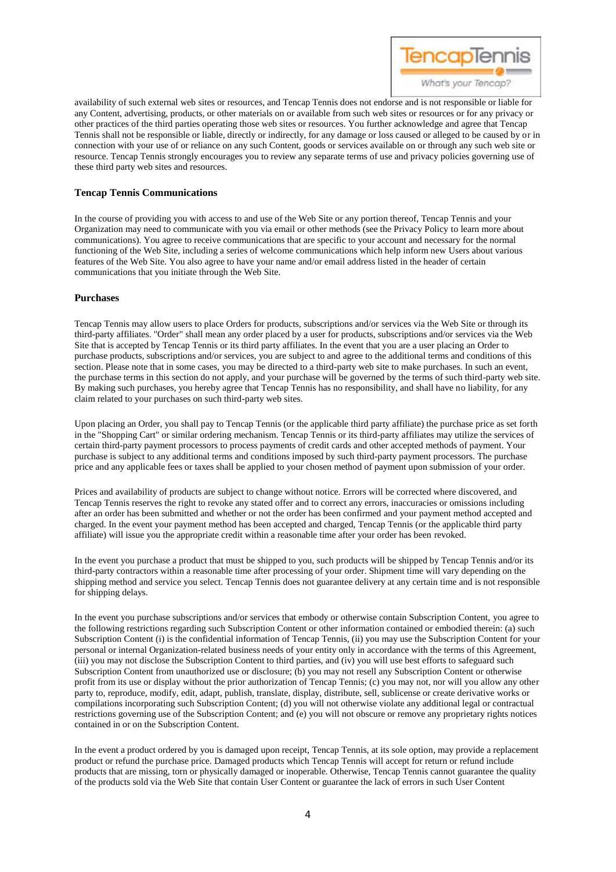

availability of such external web sites or resources, and Tencap Tennis does not endorse and is not responsible or liable for any Content, advertising, products, or other materials on or available from such web sites or resources or for any privacy or other practices of the third parties operating those web sites or resources. You further acknowledge and agree that Tencap Tennis shall not be responsible or liable, directly or indirectly, for any damage or loss caused or alleged to be caused by or in connection with your use of or reliance on any such Content, goods or services available on or through any such web site or resource. Tencap Tennis strongly encourages you to review any separate terms of use and privacy policies governing use of these third party web sites and resources.

## **Tencap Tennis Communications**

In the course of providing you with access to and use of the Web Site or any portion thereof, Tencap Tennis and your Organization may need to communicate with you via email or other methods (see the Privacy Policy to learn more about communications). You agree to receive communications that are specific to your account and necessary for the normal functioning of the Web Site, including a series of welcome communications which help inform new Users about various features of the Web Site. You also agree to have your name and/or email address listed in the header of certain communications that you initiate through the Web Site.

### **Purchases**

Tencap Tennis may allow users to place Orders for products, subscriptions and/or services via the Web Site or through its third-party affiliates. "Order" shall mean any order placed by a user for products, subscriptions and/or services via the Web Site that is accepted by Tencap Tennis or its third party affiliates. In the event that you are a user placing an Order to purchase products, subscriptions and/or services, you are subject to and agree to the additional terms and conditions of this section. Please note that in some cases, you may be directed to a third-party web site to make purchases. In such an event, the purchase terms in this section do not apply, and your purchase will be governed by the terms of such third-party web site. By making such purchases, you hereby agree that Tencap Tennis has no responsibility, and shall have no liability, for any claim related to your purchases on such third-party web sites.

Upon placing an Order, you shall pay to Tencap Tennis (or the applicable third party affiliate) the purchase price as set forth in the "Shopping Cart" or similar ordering mechanism. Tencap Tennis or its third-party affiliates may utilize the services of certain third-party payment processors to process payments of credit cards and other accepted methods of payment. Your purchase is subject to any additional terms and conditions imposed by such third-party payment processors. The purchase price and any applicable fees or taxes shall be applied to your chosen method of payment upon submission of your order.

Prices and availability of products are subject to change without notice. Errors will be corrected where discovered, and Tencap Tennis reserves the right to revoke any stated offer and to correct any errors, inaccuracies or omissions including after an order has been submitted and whether or not the order has been confirmed and your payment method accepted and charged. In the event your payment method has been accepted and charged, Tencap Tennis (or the applicable third party affiliate) will issue you the appropriate credit within a reasonable time after your order has been revoked.

In the event you purchase a product that must be shipped to you, such products will be shipped by Tencap Tennis and/or its third-party contractors within a reasonable time after processing of your order. Shipment time will vary depending on the shipping method and service you select. Tencap Tennis does not guarantee delivery at any certain time and is not responsible for shipping delays.

In the event you purchase subscriptions and/or services that embody or otherwise contain Subscription Content, you agree to the following restrictions regarding such Subscription Content or other information contained or embodied therein: (a) such Subscription Content (i) is the confidential information of Tencap Tennis, (ii) you may use the Subscription Content for your personal or internal Organization-related business needs of your entity only in accordance with the terms of this Agreement, (iii) you may not disclose the Subscription Content to third parties, and (iv) you will use best efforts to safeguard such Subscription Content from unauthorized use or disclosure; (b) you may not resell any Subscription Content or otherwise profit from its use or display without the prior authorization of Tencap Tennis; (c) you may not, nor will you allow any other party to, reproduce, modify, edit, adapt, publish, translate, display, distribute, sell, sublicense or create derivative works or compilations incorporating such Subscription Content; (d) you will not otherwise violate any additional legal or contractual restrictions governing use of the Subscription Content; and (e) you will not obscure or remove any proprietary rights notices contained in or on the Subscription Content.

In the event a product ordered by you is damaged upon receipt, Tencap Tennis, at its sole option, may provide a replacement product or refund the purchase price. Damaged products which Tencap Tennis will accept for return or refund include products that are missing, torn or physically damaged or inoperable. Otherwise, Tencap Tennis cannot guarantee the quality of the products sold via the Web Site that contain User Content or guarantee the lack of errors in such User Content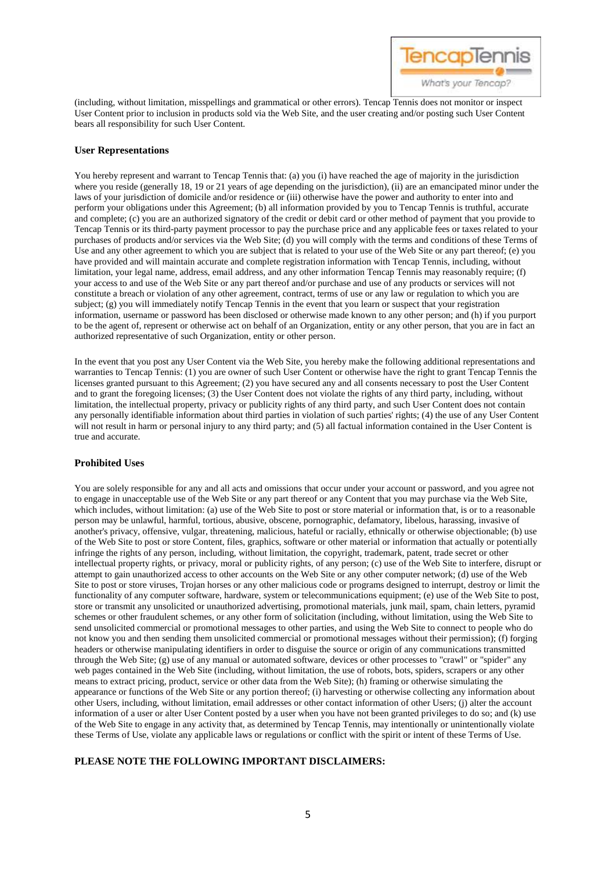

(including, without limitation, misspellings and grammatical or other errors). Tencap Tennis does not monitor or inspect User Content prior to inclusion in products sold via the Web Site, and the user creating and/or posting such User Content bears all responsibility for such User Content.

# **User Representations**

You hereby represent and warrant to Tencap Tennis that: (a) you (i) have reached the age of majority in the jurisdiction where you reside (generally 18, 19 or 21 years of age depending on the jurisdiction), (ii) are an emancipated minor under the laws of your jurisdiction of domicile and/or residence or (iii) otherwise have the power and authority to enter into and perform your obligations under this Agreement; (b) all information provided by you to Tencap Tennis is truthful, accurate and complete; (c) you are an authorized signatory of the credit or debit card or other method of payment that you provide to Tencap Tennis or its third-party payment processor to pay the purchase price and any applicable fees or taxes related to your purchases of products and/or services via the Web Site; (d) you will comply with the terms and conditions of these Terms of Use and any other agreement to which you are subject that is related to your use of the Web Site or any part thereof; (e) you have provided and will maintain accurate and complete registration information with Tencap Tennis, including, without limitation, your legal name, address, email address, and any other information Tencap Tennis may reasonably require; (f) your access to and use of the Web Site or any part thereof and/or purchase and use of any products or services will not constitute a breach or violation of any other agreement, contract, terms of use or any law or regulation to which you are subject; (g) you will immediately notify Tencap Tennis in the event that you learn or suspect that your registration information, username or password has been disclosed or otherwise made known to any other person; and (h) if you purport to be the agent of, represent or otherwise act on behalf of an Organization, entity or any other person, that you are in fact an authorized representative of such Organization, entity or other person.

In the event that you post any User Content via the Web Site, you hereby make the following additional representations and warranties to Tencap Tennis: (1) you are owner of such User Content or otherwise have the right to grant Tencap Tennis the licenses granted pursuant to this Agreement; (2) you have secured any and all consents necessary to post the User Content and to grant the foregoing licenses; (3) the User Content does not violate the rights of any third party, including, without limitation, the intellectual property, privacy or publicity rights of any third party, and such User Content does not contain any personally identifiable information about third parties in violation of such parties' rights; (4) the use of any User Content will not result in harm or personal injury to any third party; and (5) all factual information contained in the User Content is true and accurate.

# **Prohibited Uses**

You are solely responsible for any and all acts and omissions that occur under your account or password, and you agree not to engage in unacceptable use of the Web Site or any part thereof or any Content that you may purchase via the Web Site, which includes, without limitation: (a) use of the Web Site to post or store material or information that, is or to a reasonable person may be unlawful, harmful, tortious, abusive, obscene, pornographic, defamatory, libelous, harassing, invasive of another's privacy, offensive, vulgar, threatening, malicious, hateful or racially, ethnically or otherwise objectionable; (b) use of the Web Site to post or store Content, files, graphics, software or other material or information that actually or potentially infringe the rights of any person, including, without limitation, the copyright, trademark, patent, trade secret or other intellectual property rights, or privacy, moral or publicity rights, of any person; (c) use of the Web Site to interfere, disrupt or attempt to gain unauthorized access to other accounts on the Web Site or any other computer network; (d) use of the Web Site to post or store viruses, Trojan horses or any other malicious code or programs designed to interrupt, destroy or limit the functionality of any computer software, hardware, system or telecommunications equipment; (e) use of the Web Site to post, store or transmit any unsolicited or unauthorized advertising, promotional materials, junk mail, spam, chain letters, pyramid schemes or other fraudulent schemes, or any other form of solicitation (including, without limitation, using the Web Site to send unsolicited commercial or promotional messages to other parties, and using the Web Site to connect to people who do not know you and then sending them unsolicited commercial or promotional messages without their permission); (f) forging headers or otherwise manipulating identifiers in order to disguise the source or origin of any communications transmitted through the Web Site; (g) use of any manual or automated software, devices or other processes to "crawl" or "spider" any web pages contained in the Web Site (including, without limitation, the use of robots, bots, spiders, scrapers or any other means to extract pricing, product, service or other data from the Web Site); (h) framing or otherwise simulating the appearance or functions of the Web Site or any portion thereof; (i) harvesting or otherwise collecting any information about other Users, including, without limitation, email addresses or other contact information of other Users; (j) alter the account information of a user or alter User Content posted by a user when you have not been granted privileges to do so; and (k) use of the Web Site to engage in any activity that, as determined by Tencap Tennis, may intentionally or unintentionally violate these Terms of Use, violate any applicable laws or regulations or conflict with the spirit or intent of these Terms of Use.

# **PLEASE NOTE THE FOLLOWING IMPORTANT DISCLAIMERS:**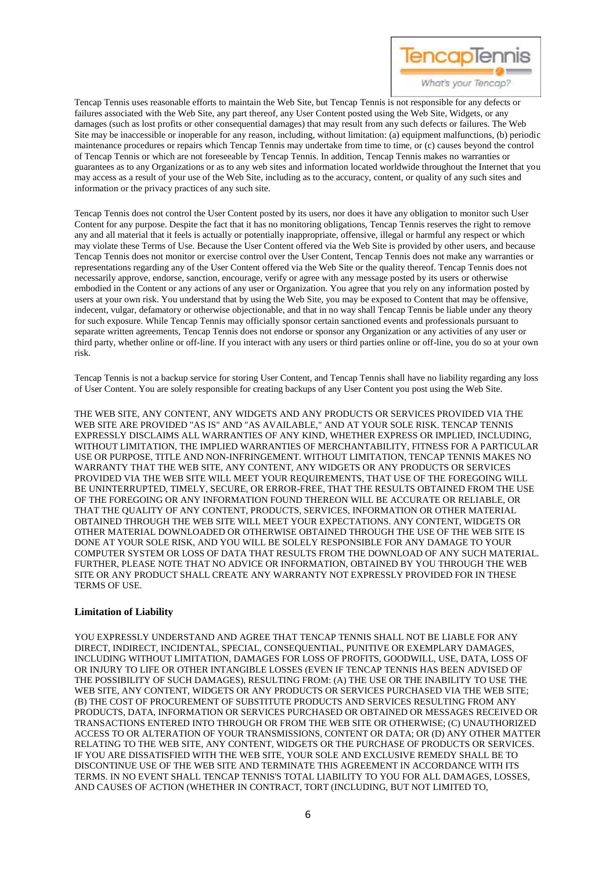

Tencap Tennis uses reasonable efforts to maintain the Web Site, but Tencap Tennis is not responsible for any defects or failures associated with the Web Site, any part thereof, any User Content posted using the Web Site, Widgets, or any damages (such as lost profits or other consequential damages) that may result from any such defects or failures. The Web Site may be inaccessible or inoperable for any reason, including, without limitation: (a) equipment malfunctions, (b) periodic maintenance procedures or repairs which Tencap Tennis may undertake from time to time, or (c) causes beyond the control of Tencap Tennis or which are not foreseeable by Tencap Tennis. In addition, Tencap Tennis makes no warranties or guarantees as to any Organizations or as to any web sites and information located worldwide throughout the Internet that you may access as a result of your use of the Web Site, including as to the accuracy, content, or quality of any such sites and information or the privacy practices of any such site.

Tencap Tennis does not control the User Content posted by its users, nor does it have any obligation to monitor such User Content for any purpose. Despite the fact that it has no monitoring obligations, Tencap Tennis reserves the right to remove any and all material that it feels is actually or potentially inappropriate, offensive, illegal or harmful any respect or which may violate these Terms of Use. Because the User Content offered via the Web Site is provided by other users, and because Tencap Tennis does not monitor or exercise control over the User Content, Tencap Tennis does not make any warranties or representations regarding any of the User Content offered via the Web Site or the quality thereof. Tencap Tennis does not necessarily approve, endorse, sanction, encourage, verify or agree with any message posted by its users or otherwise embodied in the Content or any actions of any user or Organization. You agree that you rely on any information posted by users at your own risk. You understand that by using the Web Site, you may be exposed to Content that may be offensive, indecent, vulgar, defamatory or otherwise objectionable, and that in no way shall Tencap Tennis be liable under any theory for such exposure. While Tencap Tennis may officially sponsor certain sanctioned events and professionals pursuant to separate written agreements, Tencap Tennis does not endorse or sponsor any Organization or any activities of any user or third party, whether online or off-line. If you interact with any users or third parties online or off-line, you do so at your own risk.

Tencap Tennis is not a backup service for storing User Content, and Tencap Tennis shall have no liability regarding any loss of User Content. You are solely responsible for creating backups of any User Content you post using the Web Site.

THE WEB SITE, ANY CONTENT, ANY WIDGETS AND ANY PRODUCTS OR SERVICES PROVIDED VIA THE WEB SITE ARE PROVIDED "AS IS" AND "AS AVAILABLE," AND AT YOUR SOLE RISK. TENCAP TENNIS EXPRESSLY DISCLAIMS ALL WARRANTIES OF ANY KIND, WHETHER EXPRESS OR IMPLIED, INCLUDING, WITHOUT LIMITATION, THE IMPLIED WARRANTIES OF MERCHANTABILITY, FITNESS FOR A PARTICULAR USE OR PURPOSE, TITLE AND NON-INFRINGEMENT. WITHOUT LIMITATION, TENCAP TENNIS MAKES NO WARRANTY THAT THE WEB SITE, ANY CONTENT, ANY WIDGETS OR ANY PRODUCTS OR SERVICES PROVIDED VIA THE WEB SITE WILL MEET YOUR REQUIREMENTS, THAT USE OF THE FOREGOING WILL BE UNINTERRUPTED, TIMELY, SECURE, OR ERROR-FREE, THAT THE RESULTS OBTAINED FROM THE USE OF THE FOREGOING OR ANY INFORMATION FOUND THEREON WILL BE ACCURATE OR RELIABLE, OR THAT THE QUALITY OF ANY CONTENT, PRODUCTS, SERVICES, INFORMATION OR OTHER MATERIAL OBTAINED THROUGH THE WEB SITE WILL MEET YOUR EXPECTATIONS. ANY CONTENT, WIDGETS OR OTHER MATERIAL DOWNLOADED OR OTHERWISE OBTAINED THROUGH THE USE OF THE WEB SITE IS DONE AT YOUR SOLE RISK, AND YOU WILL BE SOLELY RESPONSIBLE FOR ANY DAMAGE TO YOUR COMPUTER SYSTEM OR LOSS OF DATA THAT RESULTS FROM THE DOWNLOAD OF ANY SUCH MATERIAL. FURTHER, PLEASE NOTE THAT NO ADVICE OR INFORMATION, OBTAINED BY YOU THROUGH THE WEB SITE OR ANY PRODUCT SHALL CREATE ANY WARRANTY NOT EXPRESSLY PROVIDED FOR IN THESE TERMS OF USE.

# **Limitation of Liability**

YOU EXPRESSLY UNDERSTAND AND AGREE THAT TENCAP TENNIS SHALL NOT BE LIABLE FOR ANY DIRECT, INDIRECT, INCIDENTAL, SPECIAL, CONSEQUENTIAL, PUNITIVE OR EXEMPLARY DAMAGES, INCLUDING WITHOUT LIMITATION, DAMAGES FOR LOSS OF PROFITS, GOODWILL, USE, DATA, LOSS OF OR INJURY TO LIFE OR OTHER INTANGIBLE LOSSES (EVEN IF TENCAP TENNIS HAS BEEN ADVISED OF THE POSSIBILITY OF SUCH DAMAGES), RESULTING FROM: (A) THE USE OR THE INABILITY TO USE THE WEB SITE, ANY CONTENT, WIDGETS OR ANY PRODUCTS OR SERVICES PURCHASED VIA THE WEB SITE; (B) THE COST OF PROCUREMENT OF SUBSTITUTE PRODUCTS AND SERVICES RESULTING FROM ANY PRODUCTS, DATA, INFORMATION OR SERVICES PURCHASED OR OBTAINED OR MESSAGES RECEIVED OR TRANSACTIONS ENTERED INTO THROUGH OR FROM THE WEB SITE OR OTHERWISE; (C) UNAUTHORIZED ACCESS TO OR ALTERATION OF YOUR TRANSMISSIONS, CONTENT OR DATA; OR (D) ANY OTHER MATTER RELATING TO THE WEB SITE, ANY CONTENT, WIDGETS OR THE PURCHASE OF PRODUCTS OR SERVICES. IF YOU ARE DISSATISFIED WITH THE WEB SITE, YOUR SOLE AND EXCLUSIVE REMEDY SHALL BE TO DISCONTINUE USE OF THE WEB SITE AND TERMINATE THIS AGREEMENT IN ACCORDANCE WITH ITS TERMS. IN NO EVENT SHALL TENCAP TENNIS'S TOTAL LIABILITY TO YOU FOR ALL DAMAGES, LOSSES, AND CAUSES OF ACTION (WHETHER IN CONTRACT, TORT (INCLUDING, BUT NOT LIMITED TO,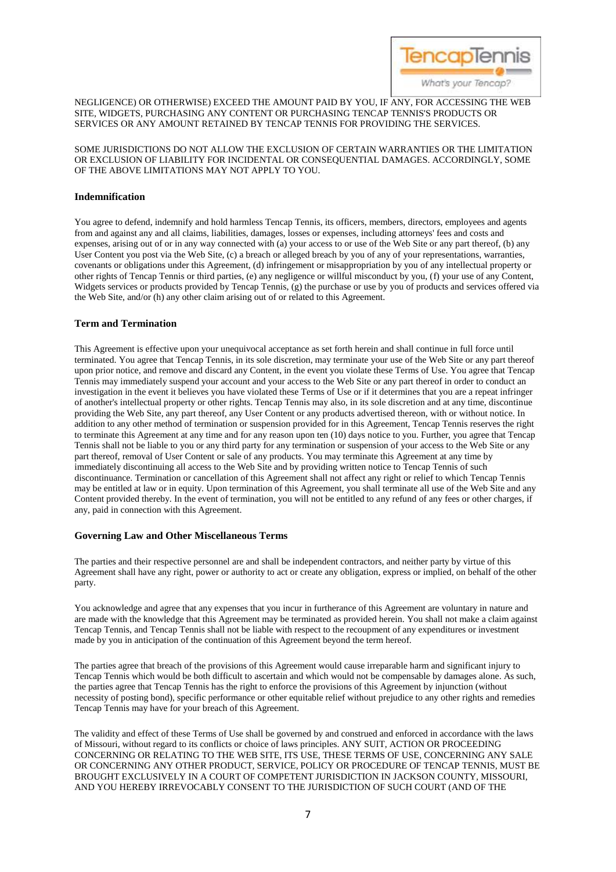

# NEGLIGENCE) OR OTHERWISE) EXCEED THE AMOUNT PAID BY YOU, IF ANY, FOR ACCESSING THE WEB SITE, WIDGETS, PURCHASING ANY CONTENT OR PURCHASING TENCAP TENNIS'S PRODUCTS OR SERVICES OR ANY AMOUNT RETAINED BY TENCAP TENNIS FOR PROVIDING THE SERVICES.

# SOME JURISDICTIONS DO NOT ALLOW THE EXCLUSION OF CERTAIN WARRANTIES OR THE LIMITATION OR EXCLUSION OF LIABILITY FOR INCIDENTAL OR CONSEQUENTIAL DAMAGES. ACCORDINGLY, SOME OF THE ABOVE LIMITATIONS MAY NOT APPLY TO YOU.

# **Indemnification**

You agree to defend, indemnify and hold harmless Tencap Tennis, its officers, members, directors, employees and agents from and against any and all claims, liabilities, damages, losses or expenses, including attorneys' fees and costs and expenses, arising out of or in any way connected with (a) your access to or use of the Web Site or any part thereof, (b) any User Content you post via the Web Site, (c) a breach or alleged breach by you of any of your representations, warranties, covenants or obligations under this Agreement, (d) infringement or misappropriation by you of any intellectual property or other rights of Tencap Tennis or third parties, (e) any negligence or willful misconduct by you, (f) your use of any Content, Widgets services or products provided by Tencap Tennis, (g) the purchase or use by you of products and services offered via the Web Site, and/or (h) any other claim arising out of or related to this Agreement.

# **Term and Termination**

This Agreement is effective upon your unequivocal acceptance as set forth herein and shall continue in full force until terminated. You agree that Tencap Tennis, in its sole discretion, may terminate your use of the Web Site or any part thereof upon prior notice, and remove and discard any Content, in the event you violate these Terms of Use. You agree that Tencap Tennis may immediately suspend your account and your access to the Web Site or any part thereof in order to conduct an investigation in the event it believes you have violated these Terms of Use or if it determines that you are a repeat infringer of another's intellectual property or other rights. Tencap Tennis may also, in its sole discretion and at any time, discontinue providing the Web Site, any part thereof, any User Content or any products advertised thereon, with or without notice. In addition to any other method of termination or suspension provided for in this Agreement, Tencap Tennis reserves the right to terminate this Agreement at any time and for any reason upon ten (10) days notice to you. Further, you agree that Tencap Tennis shall not be liable to you or any third party for any termination or suspension of your access to the Web Site or any part thereof, removal of User Content or sale of any products. You may terminate this Agreement at any time by immediately discontinuing all access to the Web Site and by providing written notice to Tencap Tennis of such discontinuance. Termination or cancellation of this Agreement shall not affect any right or relief to which Tencap Tennis may be entitled at law or in equity. Upon termination of this Agreement, you shall terminate all use of the Web Site and any Content provided thereby. In the event of termination, you will not be entitled to any refund of any fees or other charges, if any, paid in connection with this Agreement.

# **Governing Law and Other Miscellaneous Terms**

The parties and their respective personnel are and shall be independent contractors, and neither party by virtue of this Agreement shall have any right, power or authority to act or create any obligation, express or implied, on behalf of the other party.

You acknowledge and agree that any expenses that you incur in furtherance of this Agreement are voluntary in nature and are made with the knowledge that this Agreement may be terminated as provided herein. You shall not make a claim against Tencap Tennis, and Tencap Tennis shall not be liable with respect to the recoupment of any expenditures or investment made by you in anticipation of the continuation of this Agreement beyond the term hereof.

The parties agree that breach of the provisions of this Agreement would cause irreparable harm and significant injury to Tencap Tennis which would be both difficult to ascertain and which would not be compensable by damages alone. As such, the parties agree that Tencap Tennis has the right to enforce the provisions of this Agreement by injunction (without necessity of posting bond), specific performance or other equitable relief without prejudice to any other rights and remedies Tencap Tennis may have for your breach of this Agreement.

The validity and effect of these Terms of Use shall be governed by and construed and enforced in accordance with the laws of Missouri, without regard to its conflicts or choice of laws principles. ANY SUIT, ACTION OR PROCEEDING CONCERNING OR RELATING TO THE WEB SITE, ITS USE, THESE TERMS OF USE, CONCERNING ANY SALE OR CONCERNING ANY OTHER PRODUCT, SERVICE, POLICY OR PROCEDURE OF TENCAP TENNIS, MUST BE BROUGHT EXCLUSIVELY IN A COURT OF COMPETENT JURISDICTION IN JACKSON COUNTY, MISSOURI, AND YOU HEREBY IRREVOCABLY CONSENT TO THE JURISDICTION OF SUCH COURT (AND OF THE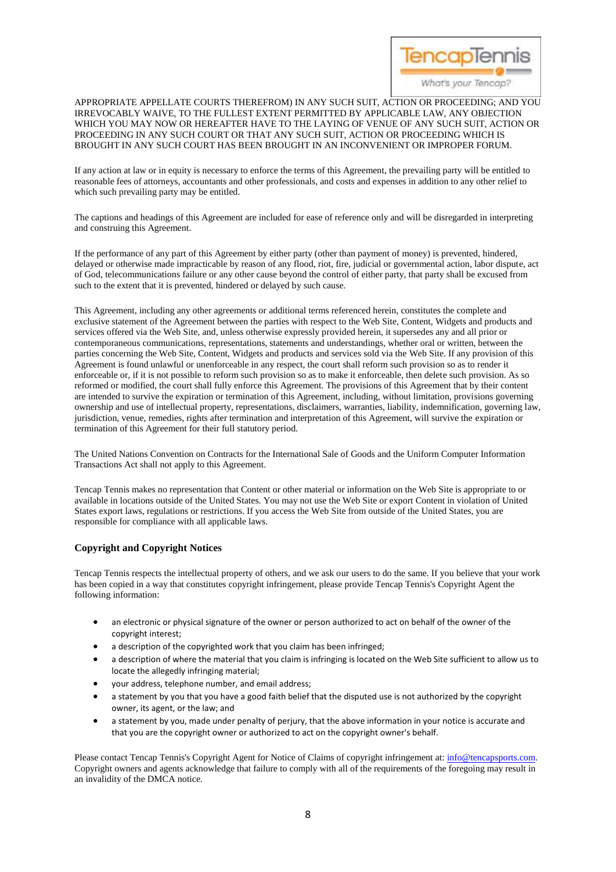

# APPROPRIATE APPELLATE COURTS THEREFROM) IN ANY SUCH SUIT, ACTION OR PROCEEDING; AND YOU IRREVOCABLY WAIVE, TO THE FULLEST EXTENT PERMITTED BY APPLICABLE LAW, ANY OBJECTION WHICH YOU MAY NOW OR HEREAFTER HAVE TO THE LAYING OF VENUE OF ANY SUCH SUIT, ACTION OR PROCEEDING IN ANY SUCH COURT OR THAT ANY SUCH SUIT, ACTION OR PROCEEDING WHICH IS BROUGHT IN ANY SUCH COURT HAS BEEN BROUGHT IN AN INCONVENIENT OR IMPROPER FORUM.

If any action at law or in equity is necessary to enforce the terms of this Agreement, the prevailing party will be entitled to reasonable fees of attorneys, accountants and other professionals, and costs and expenses in addition to any other relief to which such prevailing party may be entitled.

The captions and headings of this Agreement are included for ease of reference only and will be disregarded in interpreting and construing this Agreement.

If the performance of any part of this Agreement by either party (other than payment of money) is prevented, hindered, delayed or otherwise made impracticable by reason of any flood, riot, fire, judicial or governmental action, labor dispute, act of God, telecommunications failure or any other cause beyond the control of either party, that party shall be excused from such to the extent that it is prevented, hindered or delayed by such cause.

This Agreement, including any other agreements or additional terms referenced herein, constitutes the complete and exclusive statement of the Agreement between the parties with respect to the Web Site, Content, Widgets and products and services offered via the Web Site, and, unless otherwise expressly provided herein, it supersedes any and all prior or contemporaneous communications, representations, statements and understandings, whether oral or written, between the parties concerning the Web Site, Content, Widgets and products and services sold via the Web Site. If any provision of this Agreement is found unlawful or unenforceable in any respect, the court shall reform such provision so as to render it enforceable or, if it is not possible to reform such provision so as to make it enforceable, then delete such provision. As so reformed or modified, the court shall fully enforce this Agreement. The provisions of this Agreement that by their content are intended to survive the expiration or termination of this Agreement, including, without limitation, provisions governing ownership and use of intellectual property, representations, disclaimers, warranties, liability, indemnification, governing law, jurisdiction, venue, remedies, rights after termination and interpretation of this Agreement, will survive the expiration or termination of this Agreement for their full statutory period.

The United Nations Convention on Contracts for the International Sale of Goods and the Uniform Computer Information Transactions Act shall not apply to this Agreement.

Tencap Tennis makes no representation that Content or other material or information on the Web Site is appropriate to or available in locations outside of the United States. You may not use the Web Site or export Content in violation of United States export laws, regulations or restrictions. If you access the Web Site from outside of the United States, you are responsible for compliance with all applicable laws.

# **Copyright and Copyright Notices**

Tencap Tennis respects the intellectual property of others, and we ask our users to do the same. If you believe that your work has been copied in a way that constitutes copyright infringement, please provide Tencap Tennis's Copyright Agent the following information:

- an electronic or physical signature of the owner or person authorized to act on behalf of the owner of the copyright interest;
- a description of the copyrighted work that you claim has been infringed;
- a description of where the material that you claim is infringing is located on the Web Site sufficient to allow us to locate the allegedly infringing material;
- your address, telephone number, and email address;
- a statement by you that you have a good faith belief that the disputed use is not authorized by the copyright owner, its agent, or the law; and
- a statement by you, made under penalty of perjury, that the above information in your notice is accurate and that you are the copyright owner or authorized to act on the copyright owner's behalf.

Please contact Tencap Tennis's Copyright Agent for Notice of Claims of copyright infringement at: [info@tencapsports.com.](mailto:info@tencapsports.com)  Copyright owners and agents acknowledge that failure to comply with all of the requirements of the foregoing may result in an invalidity of the DMCA notice.